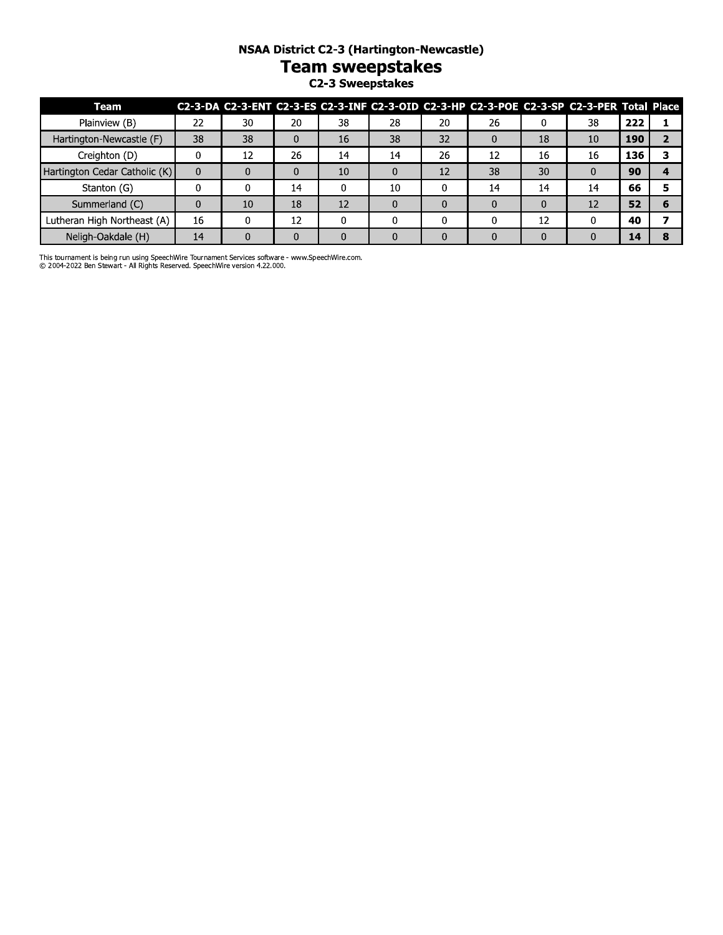### **NSAA District C2-3 (Hartington-Newcastle)**

# **Team sweepstakes**

C2-3 Sweepstakes

| Team                          |             |          |    |    |    |    | C2-3-DA C2-3-ENT C2-3-ES C2-3-INF C2-3-OID C2-3-HP C2-3-POE C2-3-SP C2-3-PER Total Place |          |    |     |  |
|-------------------------------|-------------|----------|----|----|----|----|------------------------------------------------------------------------------------------|----------|----|-----|--|
| Plainview (B)                 | 22          | 30       | 20 | 38 | 28 | 20 | 26                                                                                       |          | 38 | 222 |  |
| Hartington-Newcastle (F)      | 38          | 38       | 0  | 16 | 38 | 32 |                                                                                          | 18       | 10 | 190 |  |
| Creighton (D)                 |             | 12       | 26 | 14 | 14 | 26 | 12                                                                                       | 16       | 16 | 136 |  |
| Hartington Cedar Catholic (K) | $\mathbf 0$ |          |    | 10 |    | 12 | 38                                                                                       | 30       |    | 90  |  |
| Stanton (G)                   |             |          | 14 |    | 10 |    | 14                                                                                       | 14       | 14 | 66  |  |
| Summerland (C)                | 0           | 10       | 18 | 12 |    |    |                                                                                          | $\Omega$ | 12 | 52  |  |
| Lutheran High Northeast (A)   | 16          |          | 12 |    |    |    |                                                                                          | 12       |    | 40  |  |
| Neligh-Oakdale (H)            | 14          | $\Omega$ |    |    |    |    |                                                                                          | 0        | O  | 14  |  |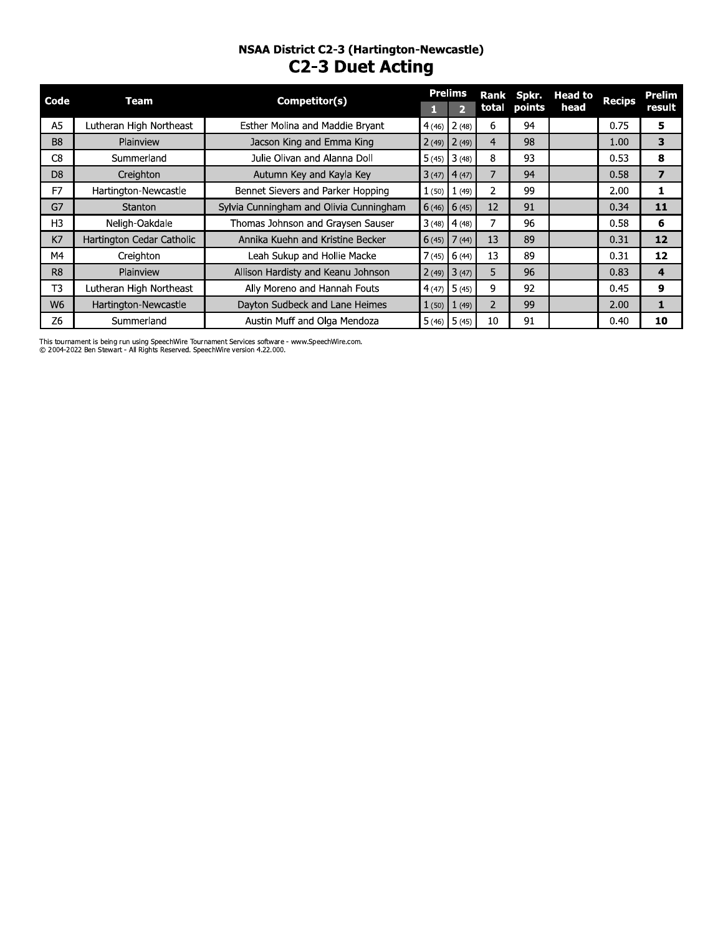# NSAA District C2-3 (Hartington-Newcastle)<br>C2-3 Duet Acting

| Code           | Team                      | Competitor(s)                           |       | <b>Prelims</b>           | Rank           | Spkr.        | Head to | <b>Recips</b> | <b>Prelim</b> |
|----------------|---------------------------|-----------------------------------------|-------|--------------------------|----------------|--------------|---------|---------------|---------------|
|                |                           |                                         |       | $\overline{\phantom{a}}$ |                | total points | head    |               | result        |
| A5             | Lutheran High Northeast   | Esther Molina and Maddie Bryant         | 4(46) | 2(48)                    | 6              | 94           |         | 0.75          | 5             |
| B <sub>8</sub> | Plainview                 | Jacson King and Emma King               |       | $2(49)$ $2(49)$          | $\overline{4}$ | 98           |         | 1.00          | 3             |
| C <sub>8</sub> | Summerland                | Julie Olivan and Alanna Doll            | 5(45) | 13(48)                   | 8              | 93           |         | 0.53          | 8             |
| D <sub>8</sub> | Creighton                 | Autumn Key and Kayla Key                |       | $3(47)$ 4(47)            |                | 94           |         | 0.58          | 7             |
| F7             | Hartington-Newcastle      | Bennet Sievers and Parker Hopping       | 1(50) | 1(49)                    | 2              | 99           |         | 2.00          | 1             |
| G7             | <b>Stanton</b>            | Sylvia Cunningham and Olivia Cunningham |       | $6(46)$ 6(45)            | 12             | 91           |         | 0.34          | 11            |
| H3             | Neligh-Oakdale            | Thomas Johnson and Graysen Sauser       | 3(48) | 4(48)                    |                | 96           |         | 0.58          | 6             |
| K7             | Hartington Cedar Catholic | Annika Kuehn and Kristine Becker        |       | $6(45)$ 7 (44)           | 13             | 89           |         | 0.31          | 12            |
| М4             | Creighton                 | Leah Sukup and Hollie Macke             | 7(45) | 6(44)                    | 13             | 89           |         | 0.31          | 12            |
| R <sub>8</sub> | Plainview                 | Allison Hardisty and Keanu Johnson      |       | $2(49)$ $3(47)$          | 5              | 96           |         | 0.83          | 4             |
| T <sub>3</sub> | Lutheran High Northeast   | Ally Moreno and Hannah Fouts            | 4(47) | 5(45)                    | 9              | 92           |         | 0.45          | 9             |
| W <sub>6</sub> | Hartington-Newcastle      | Dayton Sudbeck and Lane Heimes          | 1(50) | 1(49)                    | 2              | 99           |         | 2.00          | 1             |
| Z <sub>6</sub> | Summerland                | Austin Muff and Olga Mendoza            |       | $5(46)$ 5 (45)           | 10             | 91           |         | 0.40          | 10            |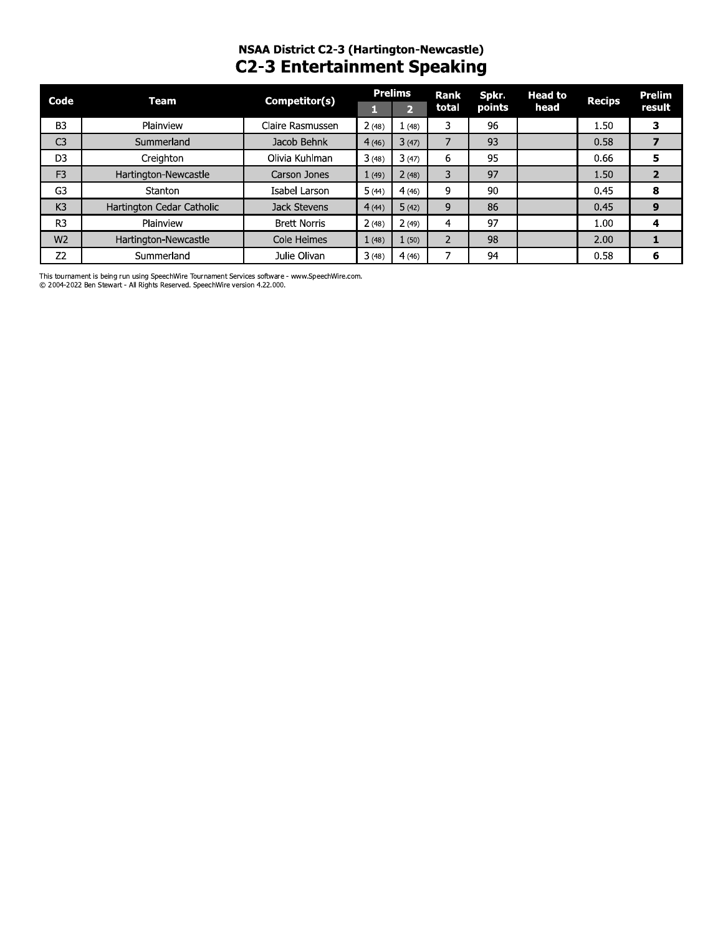# NSAA DIStrict C2-3 (Hartington-Newcastie) C2-3 Entertainment Speaking

| Code           | Team                      | Competitor(s)       |       | <b>Prelims</b> | Rank  | Spkr.  | <b>Head to</b> | <b>Recips</b> | <b>Prelim</b>  |
|----------------|---------------------------|---------------------|-------|----------------|-------|--------|----------------|---------------|----------------|
|                |                           |                     | П     | $\overline{2}$ | total | points | head           |               | result         |
| B <sub>3</sub> | Plainview                 | Claire Rasmussen    | 2(48) | 1(48)          | 3     | 96     |                | 1.50          | 3              |
| C <sub>3</sub> | Summerland                | Jacob Behnk         | 4(46) | 3(47)          | 7     | 93     |                | 0.58          | 7              |
| D3             | Creighton                 | Olivia Kuhlman      | 3(48) | 3(47)          | 6     | 95     |                | 0.66          | 5              |
| F <sub>3</sub> | Hartington-Newcastle      | Carson Jones        | 1(49) | 2(48)          | 3     | 97     |                | 1.50          | $\overline{2}$ |
| G3             | Stanton                   | Isabel Larson       | 5(44) | 4(46)          | 9     | 90     |                | 0.45          | 8              |
| K <sub>3</sub> | Hartington Cedar Catholic | Jack Stevens        | 4(44) | 5(42)          | 9     | 86     |                | 0.45          | 9              |
| R <sub>3</sub> | Plainview                 | <b>Brett Norris</b> | 2(48) | 2(49)          | 4     | 97     |                | 1.00          | 4              |
| W <sub>2</sub> | Hartington-Newcastle      | Cole Heimes         | 1(48) | 1(50)          | 2     | 98     |                | 2.00          | 1              |
| Z <sub>2</sub> | Summerland                | Julie Olivan        | 3(48) | 4(46)          | 7     | 94     |                | 0.58          | 6              |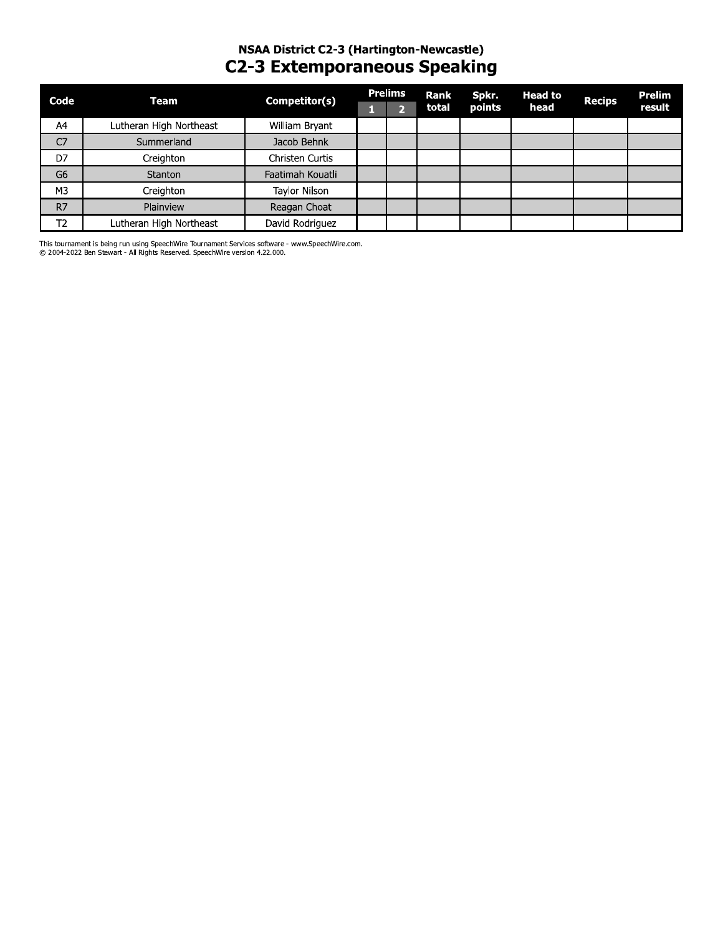### NSAA District C2-3 (Hartington-Newcastle) **C2-3 Extemporaneous Speaking**

| Code           | Team                    | Competitor(s)    | <b>Prelims</b> | Rank  | Spkr.  | <b>Head to</b> | <b>Recips</b> | Prelim |
|----------------|-------------------------|------------------|----------------|-------|--------|----------------|---------------|--------|
|                |                         |                  | O.             | total | points | head           |               | result |
| A4             | Lutheran High Northeast | William Bryant   |                |       |        |                |               |        |
| C <sub>7</sub> | Summerland              | Jacob Behnk      |                |       |        |                |               |        |
| D7             | Creighton               | Christen Curtis  |                |       |        |                |               |        |
| G <sub>6</sub> | Stanton                 | Faatimah Kouatli |                |       |        |                |               |        |
| M <sub>3</sub> | Creighton               | Taylor Nilson    |                |       |        |                |               |        |
| R7             | Plainview               | Reagan Choat     |                |       |        |                |               |        |
| T <sub>2</sub> | Lutheran High Northeast | David Rodriguez  |                |       |        |                |               |        |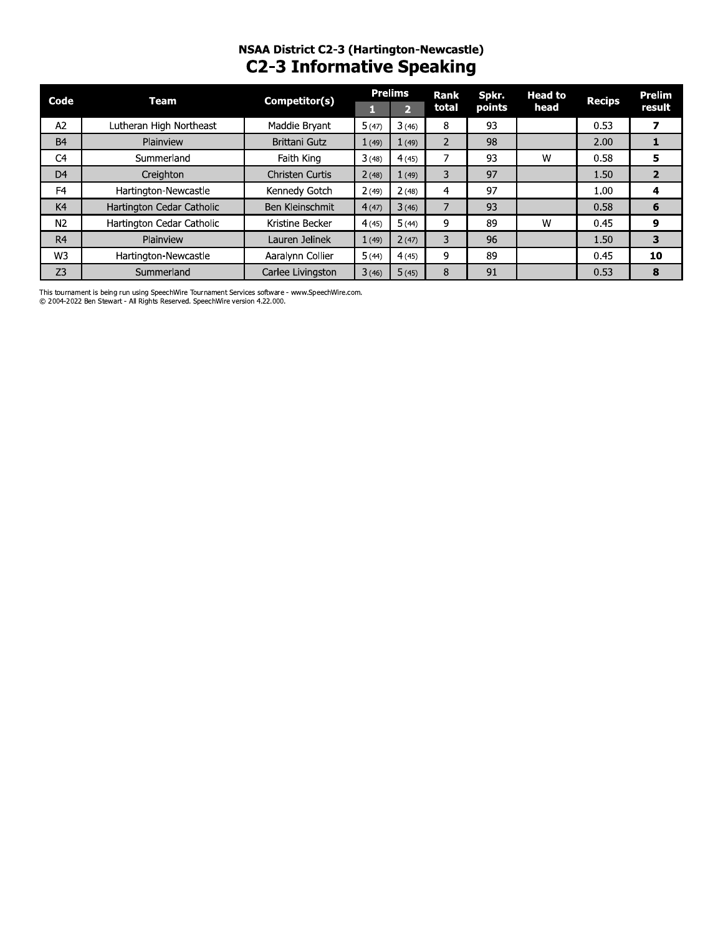## NSAA District C2-3 (Hartington-Newcastle) **C2-3 Informative Speaking**

| Code           | Competitor(s)<br>Team     |                        |       | <b>Prelims</b> | Rank           | Spkr.  | <b>Head to</b> | <b>Recips</b> | <b>Prelim</b>  |
|----------------|---------------------------|------------------------|-------|----------------|----------------|--------|----------------|---------------|----------------|
|                |                           |                        | н.    | $\overline{2}$ | total          | points | head           |               | result         |
| A <sub>2</sub> | Lutheran High Northeast   | Maddie Bryant          | 5(47) | 3(46)          | 8              | 93     |                | 0.53          |                |
| <b>B4</b>      | Plainview                 | <b>Brittani Gutz</b>   | 1(49) | 1(49)          | $\overline{2}$ | 98     |                | 2.00          |                |
| C <sub>4</sub> | Summerland                | Faith King             | 3(48) | 4(45)          |                | 93     | W              | 0.58          | 5              |
| D <sub>4</sub> | Creighton                 | <b>Christen Curtis</b> | 2(48) | 1(49)          | 3              | 97     |                | 1.50          | $\overline{2}$ |
| F <sub>4</sub> | Hartington-Newcastle      | Kennedy Gotch          | 2(49) | 2(48)          | 4              | 97     |                | 1.00          | 4              |
| K4             | Hartington Cedar Catholic | Ben Kleinschmit        | 4(47) | 3(46)          |                | 93     |                | 0.58          | 6              |
| N <sub>2</sub> | Hartington Cedar Catholic | Kristine Becker        | 4(45) | 5(44)          | 9              | 89     | W              | 0.45          | 9              |
| R <sub>4</sub> | Plainview                 | Lauren Jelinek         | 1(49) | 2(47)          | 3              | 96     |                | 1.50          | 3              |
| W3             | Hartington-Newcastle      | Aaralynn Collier       | 5(44) | 4(45)          | 9              | 89     |                | 0.45          | 10             |
| Z <sub>3</sub> | Summerland                | Carlee Livingston      | 3(46) | 5(45)          | 8              | 91     |                | 0.53          | 8              |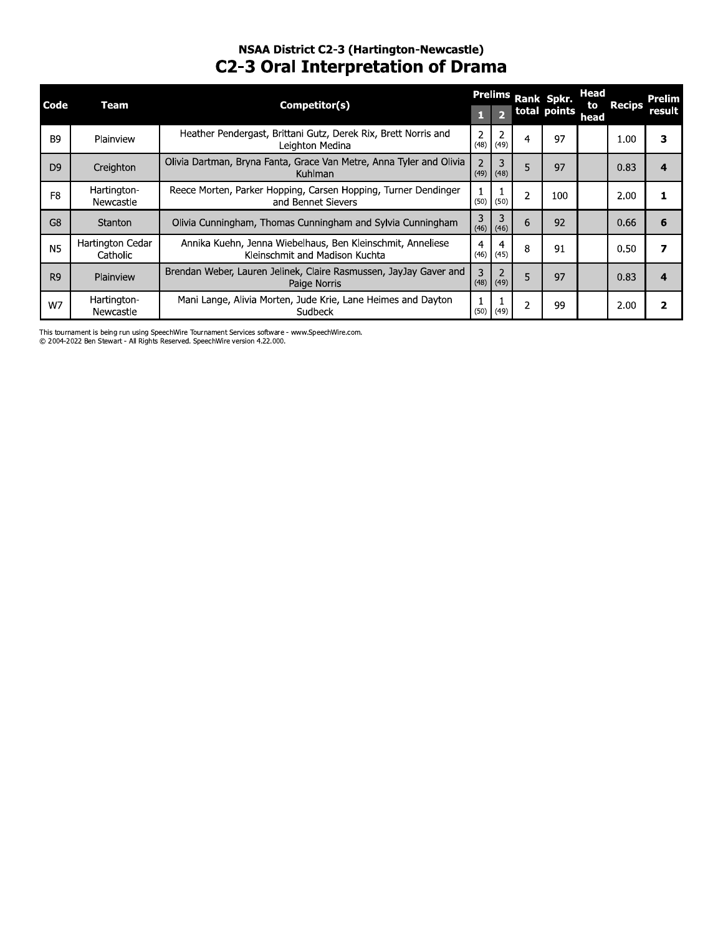## NSAA District C2-3 (Hartington-Newcastle) **C2-3 Oral Interpretation of Drama**

|                |                              |                                                                                              |                |                               |   | Prelims Rank Spkr. | Head       |               | Prelim                  |
|----------------|------------------------------|----------------------------------------------------------------------------------------------|----------------|-------------------------------|---|--------------------|------------|---------------|-------------------------|
| Code           | Team                         | Competitor(s)                                                                                |                |                               |   | total points       | to<br>head | <b>Recips</b> | result                  |
| B <sub>9</sub> | Plainview                    | Heather Pendergast, Brittani Gutz, Derek Rix, Brett Norris and<br>Leighton Medina            | 2              | $(48)$ (49)                   | 4 | 97                 |            | 1.00          | 3                       |
| D <sub>9</sub> | Creighton                    | Olivia Dartman, Bryna Fanta, Grace Van Metre, Anna Tyler and Olivia<br>Kuhlman               | $\overline{2}$ | 3<br>$(49)$ (48)              | 5 | 97                 |            | 0.83          | 4                       |
| F <sub>8</sub> | Hartington-<br>Newcastle     | Reece Morten, Parker Hopping, Carsen Hopping, Turner Dendinger<br>and Bennet Sievers         |                | $(50)$ (50)                   |   | 100                |            | 2.00          |                         |
| G <sub>8</sub> | Stanton                      | Olivia Cunningham, Thomas Cunningham and Sylvia Cunningham                                   | 3              | $(46)$ (46)                   | 6 | 92                 |            | 0.66          | 6                       |
| N <sub>5</sub> | Hartington Cedar<br>Catholic | Annika Kuehn, Jenna Wiebelhaus, Ben Kleinschmit, Anneliese<br>Kleinschmit and Madison Kuchta | 4              | 4<br>$(46)$ (45)              | 8 | 91                 |            | 0.50          | 7                       |
| R <sub>9</sub> | Plainview                    | Brendan Weber, Lauren Jelinek, Claire Rasmussen, JayJay Gaver and<br>Paige Norris            | 3              | $\overline{2}$<br>$(48)$ (49) |   | 97                 |            | 0.83          | 4                       |
| W7             | Hartington-<br>Newcastle     | Mani Lange, Alivia Morten, Jude Krie, Lane Heimes and Dayton<br>Sudbeck                      |                | $(50)$ (49)                   | 2 | 99                 |            | 2.00          | $\overline{\mathbf{2}}$ |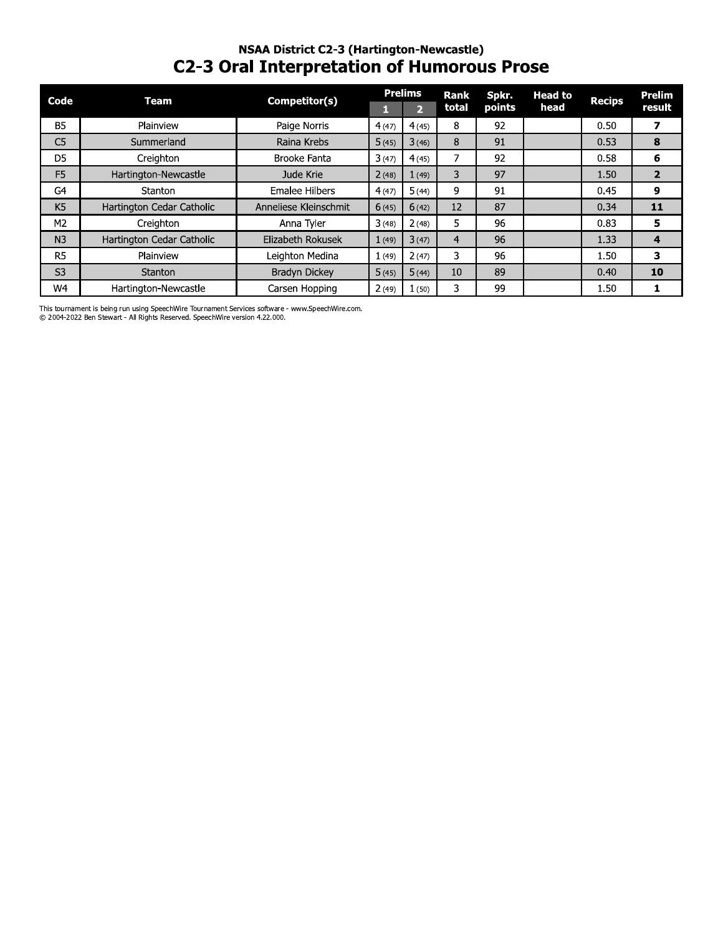### NSAA DIStrict C2-3 (Hartington-Newcastie) **C2-3 Oral Interpretation of Humorous Prose**

| Code           | Team                      | Competitor(s)         | п     | <b>Prelims</b><br>$\overline{2}$ | <b>Rank</b><br>total | Spkr.<br>points | <b>Head to</b><br>head | <b>Recips</b> | Prelim<br>result |
|----------------|---------------------------|-----------------------|-------|----------------------------------|----------------------|-----------------|------------------------|---------------|------------------|
| <b>B5</b>      | Plainview                 | Paige Norris          | 4(47) | 4(45)                            | 8                    | 92              |                        | 0.50          | 7                |
| C <sub>5</sub> | Summerland                | Raina Krebs           | 5(45) | 3(46)                            | 8                    | 91              |                        | 0.53          | 8                |
| D <sub>5</sub> | Creighton                 | Brooke Fanta          | 3(47) | 4(45)                            | 7                    | 92              |                        | 0.58          | 6                |
| F <sub>5</sub> | Hartington-Newcastle      | Jude Krie             | 2(48) | 1(49)                            | 3                    | 97              |                        | 1.50          | $\overline{2}$   |
| G <sub>4</sub> | Stanton                   | Emalee Hilbers        | 4(47) | 5(44)                            | 9                    | 91              |                        | 0.45          | 9                |
| K <sub>5</sub> | Hartington Cedar Catholic | Anneliese Kleinschmit | 6(45) | 6(42)                            | 12                   | 87              |                        | 0.34          | 11               |
| M <sub>2</sub> | Creighton                 | Anna Tyler            | 3(48) | 2(48)                            | 5                    | 96              |                        | 0.83          |                  |
| N <sub>3</sub> | Hartington Cedar Catholic | Elizabeth Rokusek     | 1(49) | 3(47)                            | $\overline{4}$       | 96              |                        | 1.33          |                  |
| R <sub>5</sub> | Plainview                 | Leighton Medina       | 1(49) | 2(47)                            | 3                    | 96              |                        | 1.50          |                  |
| S <sub>3</sub> | Stanton                   | Bradyn Dickey         | 5(45) | 5(44)                            | 10                   | 89              |                        | 0.40          | 10               |
| W4             | Hartington-Newcastle      | Carsen Hopping        | 2(49) | 1(50)                            | 3                    | 99              |                        | 1.50          |                  |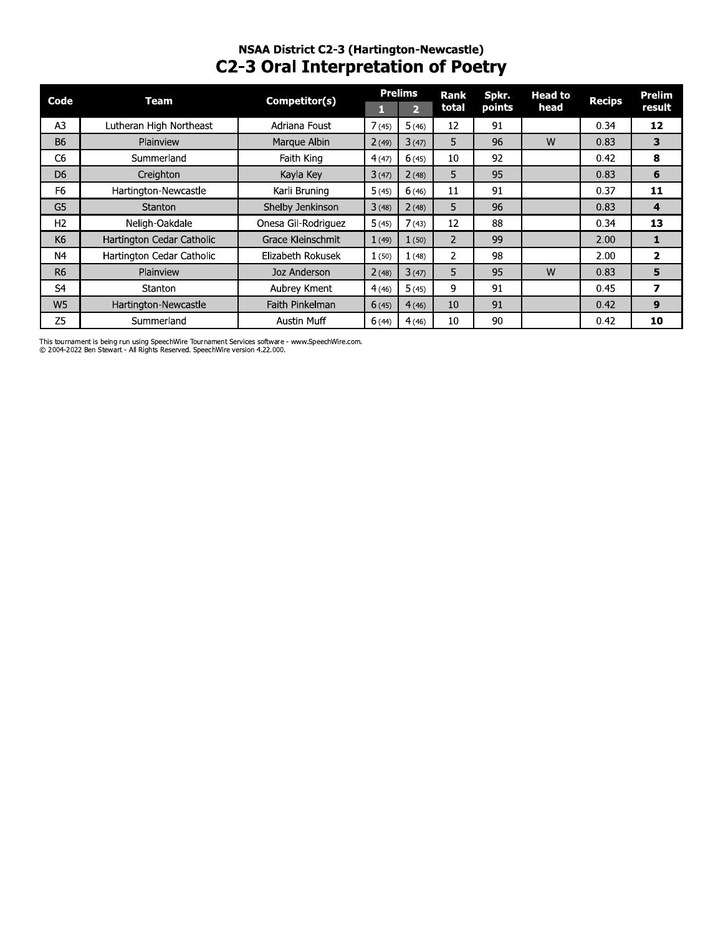### NSAA DIStrict C2-3 (Hartington-Newcastie) **C2-3 Oral Interpretation of Poetry**

| Code           | <b>Team</b>               | Competitor(s)       |       | <b>Prelims</b> | Rank           | Spkr.  | <b>Head to</b> | <b>Recips</b> | Prelim                  |
|----------------|---------------------------|---------------------|-------|----------------|----------------|--------|----------------|---------------|-------------------------|
|                |                           |                     | П     | $\overline{2}$ | total          | points | head           |               | result                  |
| A <sub>3</sub> | Lutheran High Northeast   | Adriana Foust       | 7(45) | 5(46)          | 12             | 91     |                | 0.34          | 12                      |
| <b>B6</b>      | Plainview                 | Marque Albin        | 2(49) | 3(47)          | 5              | 96     | W              | 0.83          | $\overline{\mathbf{3}}$ |
| C <sub>6</sub> | Summerland                | Faith King          | 4(47) | 6(45)          | 10             | 92     |                | 0.42          | 8                       |
| D <sub>6</sub> | Creighton                 | Kayla Key           | 3(47) | 2(48)          | 5              | 95     |                | 0.83          | 6                       |
| F <sub>6</sub> | Hartington-Newcastle      | Karli Bruning       | 5(45) | 6(46)          | 11             | 91     |                | 0.37          | 11                      |
| G5             | Stanton                   | Shelby Jenkinson    | 3(48) | 2(48)          | 5              | 96     |                | 0.83          | 4                       |
| H <sub>2</sub> | Neligh-Oakdale            | Onesa Gil-Rodriguez | 5(45) | 7(43)          | 12             | 88     |                | 0.34          | 13                      |
| K6             | Hartington Cedar Catholic | Grace Kleinschmit   | 1(49) | 1(50)          | 2              | 99     |                | 2.00          | 1                       |
| N4             | Hartington Cedar Catholic | Elizabeth Rokusek   | 1(50) | 1(48)          | $\overline{2}$ | 98     |                | 2.00          | $\overline{2}$          |
| R <sub>6</sub> | Plainview                 | Joz Anderson        | 2(48) | 3(47)          | 5              | 95     | W              | 0.83          | 5                       |
| S4             | Stanton                   | Aubrey Kment        | 4(46) | 5(45)          | 9              | 91     |                | 0.45          | $\overline{\mathbf{z}}$ |
| W <sub>5</sub> | Hartington-Newcastle      | Faith Pinkelman     | 6(45) | 4(46)          | 10             | 91     |                | 0.42          | 9                       |
| Z <sub>5</sub> | Summerland                | <b>Austin Muff</b>  | 6(44) | 4(46)          | 10             | 90     |                | 0.42          | 10                      |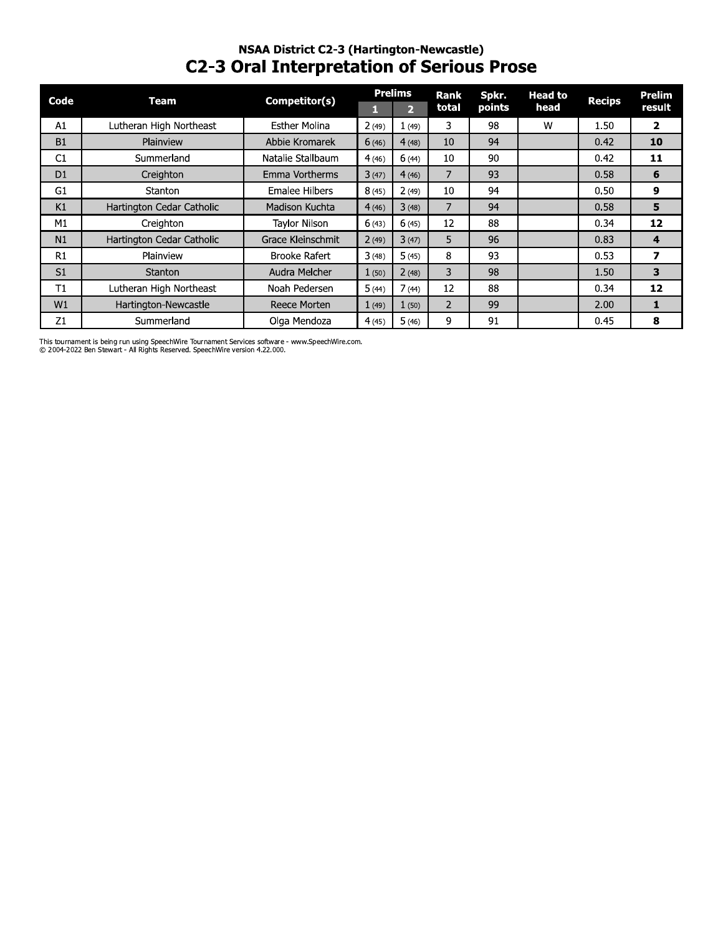# NSAA DIStrict C2-3 (Hartington-Newcastie) C2-3 Oral Interpretation or Serious Prose

| Code           | <b>Team</b>               | Competitor(s)         |       | <b>Prelims</b><br>$\overline{2}$ | Rank<br>total  | Spkr.<br>points | <b>Head to</b><br>head | <b>Recips</b> |
|----------------|---------------------------|-----------------------|-------|----------------------------------|----------------|-----------------|------------------------|---------------|
| A1             | Lutheran High Northeast   | <b>Esther Molina</b>  | 2(49) | 1(49)                            | 3              | 98              | W                      | 1.50          |
| B1             | Plainview                 | Abbie Kromarek        | 6(46) | 4(48)                            | 10             | 94              |                        | 0.42          |
| C1             | Summerland                | Natalie Stallbaum     | 4(46) | 6(44)                            | 10             | 90              |                        | 0.42          |
| D1             | Creighton                 | Emma Vortherms        | 3(47) | 4(46)                            | $\overline{7}$ | 93              |                        | 0.58          |
| G1             | Stanton                   | <b>Emalee Hilbers</b> | 8(45) | 2(49)                            | 10             | 94              |                        | 0.50          |
| K1             | Hartington Cedar Catholic | Madison Kuchta        | 4(46) | 3(48)                            | $\overline{7}$ | 94              |                        | 0.58          |
| M1             | Creighton                 | <b>Taylor Nilson</b>  | 6(43) | 6(45)                            | 12             | 88              |                        | 0.34          |
| N1             | Hartington Cedar Catholic | Grace Kleinschmit     | 2(49) | 3(47)                            | 5              | 96              |                        | 0.83          |
| R1             | Plainview                 | Brooke Rafert         | 3(48) | 5(45)                            | 8              | 93              |                        | 0.53          |
| S <sub>1</sub> | Stanton                   | Audra Melcher         | 1(50) | 2(48)                            | 3              | 98              |                        | 1.50          |
| T1             | Lutheran High Northeast   | Noah Pedersen         | 5(44) | 7(44)                            | 12             | 88              |                        | 0.34          |
| W1             | Hartington-Newcastle      | Reece Morten          | 1(49) | 1(50)                            | $\overline{2}$ | 99              |                        | 2.00          |
| Z1             | Summerland                | Olga Mendoza          | 4(45) | 5(46)                            | 9              | 91              |                        | 0.45          |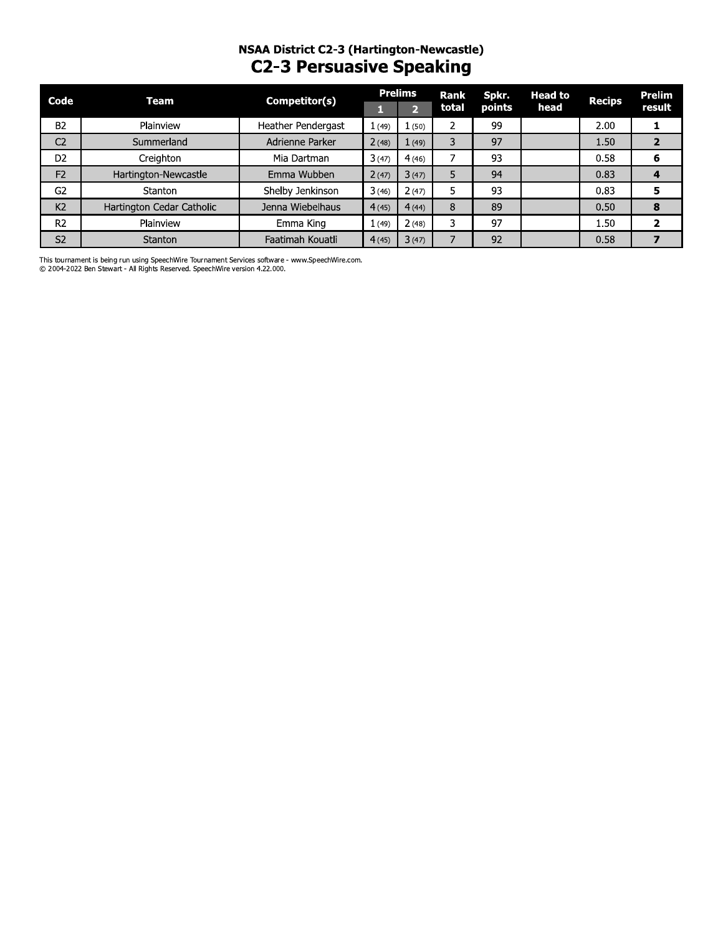## NSAA District C2-3 (Hartington-Newcastle) **C2-3 Persuasive Speaking**

| Code           | Team                      | Competitor(s)      |       | <b>Prelims</b> | Rank  | Spkr.  | <b>Head to</b> | <b>Recips</b> | <b>Prelim</b> |
|----------------|---------------------------|--------------------|-------|----------------|-------|--------|----------------|---------------|---------------|
|                |                           |                    |       |                | total | points | head           |               | result        |
| B <sub>2</sub> | Plainview                 | Heather Pendergast | 1(49) | (50)           | ∠     | 99     |                | 2.00          |               |
| C <sub>2</sub> | Summerland                | Adrienne Parker    | 2(48) | (49)           | 3     | 97     |                | 1.50          | $\mathbf{2}$  |
| D <sub>2</sub> | Creighton                 | Mia Dartman        | 3(47) | 4(46)          | ∍     | 93     |                | 0.58          | 6             |
| F <sub>2</sub> | Hartington-Newcastle      | Emma Wubben        | 2(47) | 3(47)          | 5     | 94     |                | 0.83          |               |
| G <sub>2</sub> | Stanton                   | Shelby Jenkinson   | 3(46) | 2(47)          |       | 93     |                | 0.83          | 5             |
| K <sub>2</sub> | Hartington Cedar Catholic | Jenna Wiebelhaus   | 4(45) | 4(44)          | 8     | 89     |                | 0.50          | 8             |
| R <sub>2</sub> | Plainview                 | Emma King          | (49)  | 2(48)          | 3     | 97     |                | 1.50          |               |
| S <sub>2</sub> | <b>Stanton</b>            | Faatimah Kouatli   | 4(45) | 3(47)          |       | 92     |                | 0.58          |               |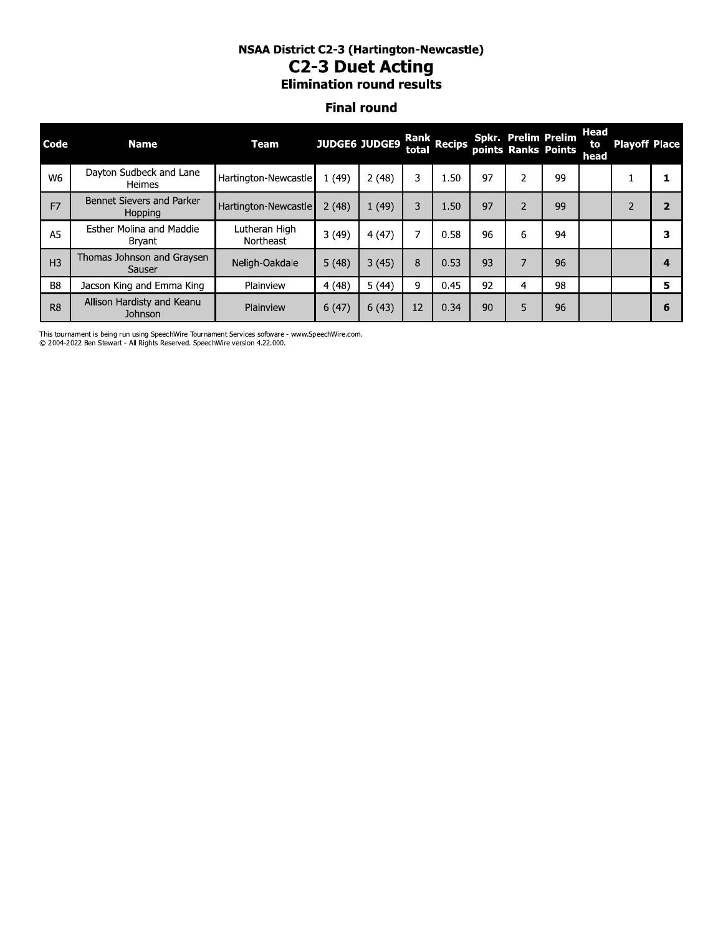# NSAA DIStrict C2-3 (Hartington-Newcastie) CZ-3 DUET ACTING

### **Final round**

| <b>NSAA District C2-3 (Hartington-Newcastle)</b><br><b>C2-3 Duet Acting</b><br><b>Elimination round results</b> |                                           |                            |       |                      |       |                       |    |                |                                            |                    |                      |                |
|-----------------------------------------------------------------------------------------------------------------|-------------------------------------------|----------------------------|-------|----------------------|-------|-----------------------|----|----------------|--------------------------------------------|--------------------|----------------------|----------------|
|                                                                                                                 |                                           |                            |       | <b>Final round</b>   |       |                       |    |                |                                            |                    |                      |                |
| Code                                                                                                            | <b>Name</b>                               | <b>Team</b>                |       | <b>JUDGE6 JUDGE9</b> | total | Rank<br><b>Recips</b> |    |                | Spkr. Prelim Prelim<br>points Ranks Points | Head<br>to<br>head | <b>Playoff Place</b> |                |
| W <sub>6</sub>                                                                                                  | Dayton Sudbeck and Lane<br>Heimes         | Hartington-Newcastle       | 1(49) | 2(48)                | 3     | 1.50                  | 97 | 2              | 99                                         |                    |                      | 1              |
| F <sub>7</sub>                                                                                                  | Bennet Sievers and Parker<br>Hopping      | Hartington-Newcastle       | 2(48) | 1(49)                | 3     | 1.50                  | 97 | $\overline{2}$ | 99                                         |                    | $\overline{2}$       | $\overline{2}$ |
| A <sub>5</sub>                                                                                                  | <b>Esther Molina and Maddie</b><br>Bryant | Lutheran High<br>Northeast | 3(49) | 4(47)                | 7     | 0.58                  | 96 | 6              | 94                                         |                    |                      | 3              |
| H <sub>3</sub>                                                                                                  | Thomas Johnson and Graysen<br>Sauser      | Neligh-Oakdale             | 5(48) | 3(45)                | 8     | 0.53                  | 93 | $\overline{7}$ | 96                                         |                    |                      | 4              |
| B <sub>8</sub>                                                                                                  | Jacson King and Emma King                 | Plainview                  | 4(48) | 5(44)                | 9     | 0.45                  | 92 | 4              | 98                                         |                    |                      | 5              |
| R <sub>8</sub>                                                                                                  | Allison Hardisty and Keanu<br>Johnson     | Plainview                  | 6(47) | 6(43)                | 12    | 0.34                  | 90 | 5              | 96                                         |                    |                      | 6              |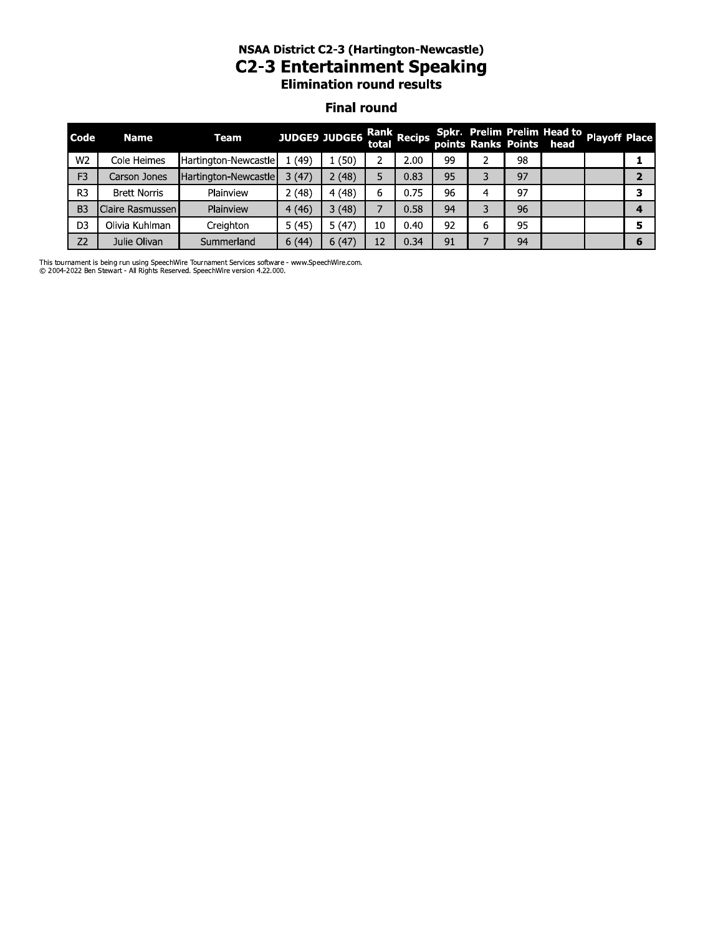# NSAA DIStrict C2-3 (Hartington-Newcastie) C2-3 Entertainment Speaking

### **Final round**

|                | <b>NSAA District C2-3 (Hartington-Newcastle)</b><br><b>C2-3 Entertainment Speaking</b><br><b>Elimination round results</b> |                      |       |                      |    |                      |    |   |    |                                                                       |  |                |
|----------------|----------------------------------------------------------------------------------------------------------------------------|----------------------|-------|----------------------|----|----------------------|----|---|----|-----------------------------------------------------------------------|--|----------------|
|                |                                                                                                                            |                      |       | <b>Final round</b>   |    |                      |    |   |    |                                                                       |  |                |
| Code           | <b>Name</b>                                                                                                                | <b>Team</b>          |       | <b>JUDGE9 JUDGE6</b> |    | Rank<br>total Recips |    |   |    | Spkr. Prelim Prelim Head to Playoff Place<br>points Ranks Points head |  |                |
| W <sub>2</sub> | Cole Heimes                                                                                                                | Hartington-Newcastle | 1(49) | 1(50)                | 2  | 2.00                 | 99 |   | 98 |                                                                       |  | 1              |
| F <sub>3</sub> | Carson Jones                                                                                                               | Hartington-Newcastle | 3(47) | 2(48)                | 5  | 0.83                 | 95 | 3 | 97 |                                                                       |  | $\overline{2}$ |
| R3             | <b>Brett Norris</b>                                                                                                        | Plainview            | 2(48) | 4(48)                | 6  | 0.75                 | 96 | 4 | 97 |                                                                       |  | 3              |
| B <sub>3</sub> | Claire Rasmussen                                                                                                           | Plainview            | 4(46) | 3(48)                | 7  | 0.58                 | 94 | 3 | 96 |                                                                       |  | 4              |
| D <sub>3</sub> | Olivia Kuhlman                                                                                                             | Creighton            | 5(45) | 5(47)                | 10 | 0.40                 | 92 | 6 | 95 |                                                                       |  | 5              |
| Z <sub>2</sub> | Julie Olivan                                                                                                               | Summerland           | 6(44) | 6(47)                | 12 | 0.34                 | 91 |   | 94 |                                                                       |  | 6              |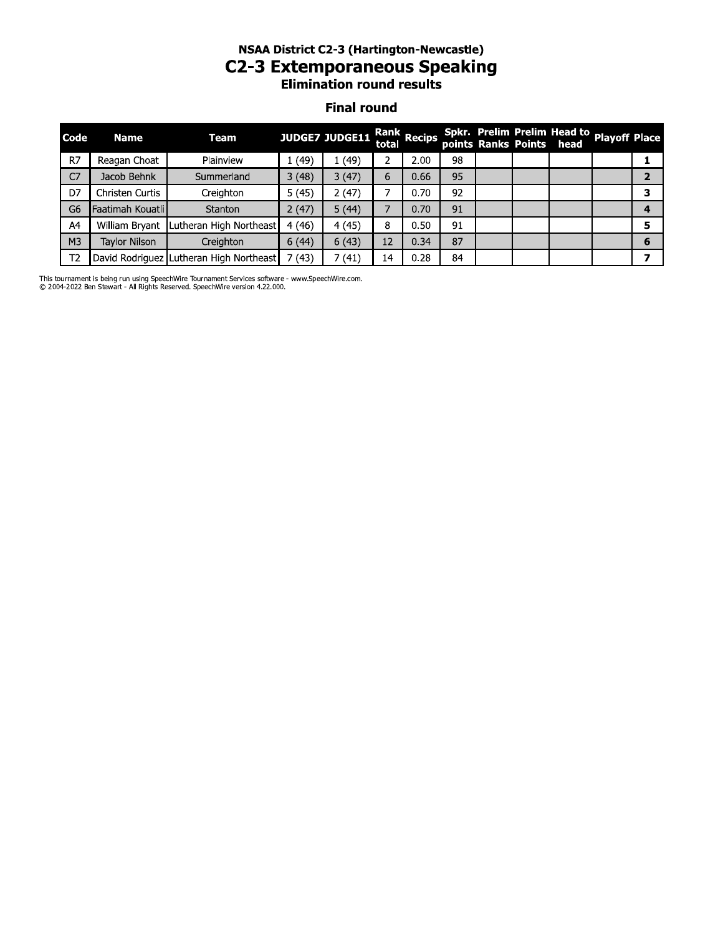# NSAA DIStrict C2-3 (Hartington-Newcastie) C2-3 Extemporaneous Speaking

### **Final round**

|                | <b>NSAA District C2-3 (Hartington-Newcastle)</b><br><b>C2-3 Extemporaneous Speaking</b><br><b>Elimination round results</b> |                                         |       |                |       |             |    |  |  |                                                                       |  |                |  |
|----------------|-----------------------------------------------------------------------------------------------------------------------------|-----------------------------------------|-------|----------------|-------|-------------|----|--|--|-----------------------------------------------------------------------|--|----------------|--|
|                | <b>Final round</b>                                                                                                          |                                         |       |                |       |             |    |  |  |                                                                       |  |                |  |
| Code           | <b>Name</b>                                                                                                                 | Team                                    |       | JUDGE7 JUDGE11 | total | Rank Recips |    |  |  | Spkr. Prelim Prelim Head to Playoff Place<br>points Ranks Points head |  |                |  |
| R7             | Reagan Choat                                                                                                                | Plainview                               | 1(49) | 1(49)          | 2     | 2.00        | 98 |  |  |                                                                       |  | 1              |  |
| C <sub>7</sub> | Jacob Behnk                                                                                                                 | Summerland                              | 3(48) | 3(47)          | 6     | 0.66        | 95 |  |  |                                                                       |  | $\overline{2}$ |  |
| D7             | Christen Curtis                                                                                                             | Creighton                               | 5(45) | 2(47)          |       | 0.70        | 92 |  |  |                                                                       |  | 3              |  |
| G6             | Faatimah Kouatlil                                                                                                           | Stanton                                 | 2(47) | 5(44)          | 7     | 0.70        | 91 |  |  |                                                                       |  | 4              |  |
| A4             | William Bryant                                                                                                              | Lutheran High Northeast                 | 4(46) | 4 (45)         | 8     | 0.50        | 91 |  |  |                                                                       |  | 5              |  |
| M <sub>3</sub> | Tavlor Nilson                                                                                                               | Creighton                               | 6(44) | 6(43)          | 12    | 0.34        | 87 |  |  |                                                                       |  | 6              |  |
| Т2             |                                                                                                                             | David Rodriguez Lutheran High Northeast | 7(43) | 7(41)          | 14    | 0.28        | 84 |  |  |                                                                       |  | 7              |  |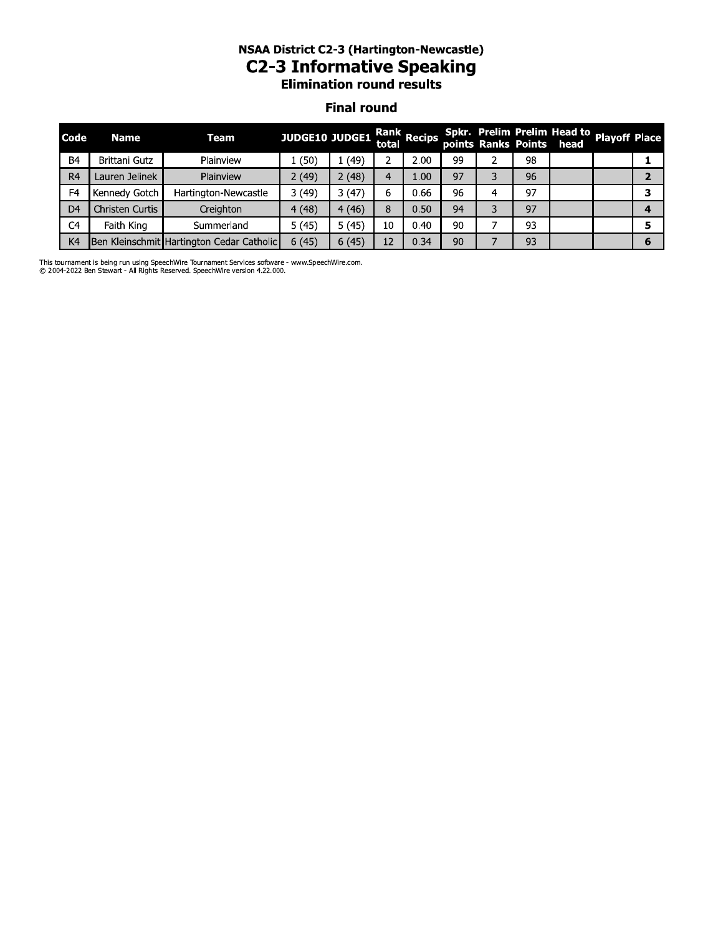# NSAA DIStrict C2-3 (Hartington-Newcastie) C2-3 Informative Speaking

#### **Final round**

|                |                 |                                           | <b>NSAA District C2-3 (Hartington-Newcastle)</b><br><b>C2-3 Informative Speaking</b><br><b>Elimination round results</b> |                    |       |             |    |   |    |                                                         |                      |                |
|----------------|-----------------|-------------------------------------------|--------------------------------------------------------------------------------------------------------------------------|--------------------|-------|-------------|----|---|----|---------------------------------------------------------|----------------------|----------------|
|                |                 |                                           |                                                                                                                          | <b>Final round</b> |       |             |    |   |    |                                                         |                      |                |
| <b>Code</b>    | Name            | Team                                      | JUDGE10 JUDGE1                                                                                                           |                    | total | Rank Recips |    |   |    | Spkr. Prelim Prelim Head to<br>points Ranks Points head | <b>Playoff Place</b> |                |
| B <sub>4</sub> | Brittani Gutz   | Plainview                                 | 1(50)                                                                                                                    | 1(49)              | 2     | 2.00        | 99 | 2 | 98 |                                                         |                      | 1              |
| R <sub>4</sub> | Lauren Jelinek  | Plainview                                 | 2(49)                                                                                                                    | 2(48)              | 4     | 1.00        | 97 | 3 | 96 |                                                         |                      | $\overline{2}$ |
| F <sub>4</sub> | Kennedy Gotch   | Hartington-Newcastle                      | 3(49)                                                                                                                    | 3(47)              | 6     | 0.66        | 96 | 4 | 97 |                                                         |                      | 3              |
| D <sub>4</sub> | Christen Curtis | Creighton                                 | 4(48)                                                                                                                    | 4(46)              | 8     | 0.50        | 94 | 3 | 97 |                                                         |                      | 4              |
| C <sub>4</sub> | Faith King      | Summerland                                | 5(45)                                                                                                                    | 5(45)              | 10    | 0.40        | 90 |   | 93 |                                                         |                      | 5              |
| K <sub>4</sub> |                 | Ben Kleinschmit Hartington Cedar Catholic | 6(45)                                                                                                                    | 6(45)              | 12    | 0.34        | 90 |   | 93 |                                                         |                      | 6              |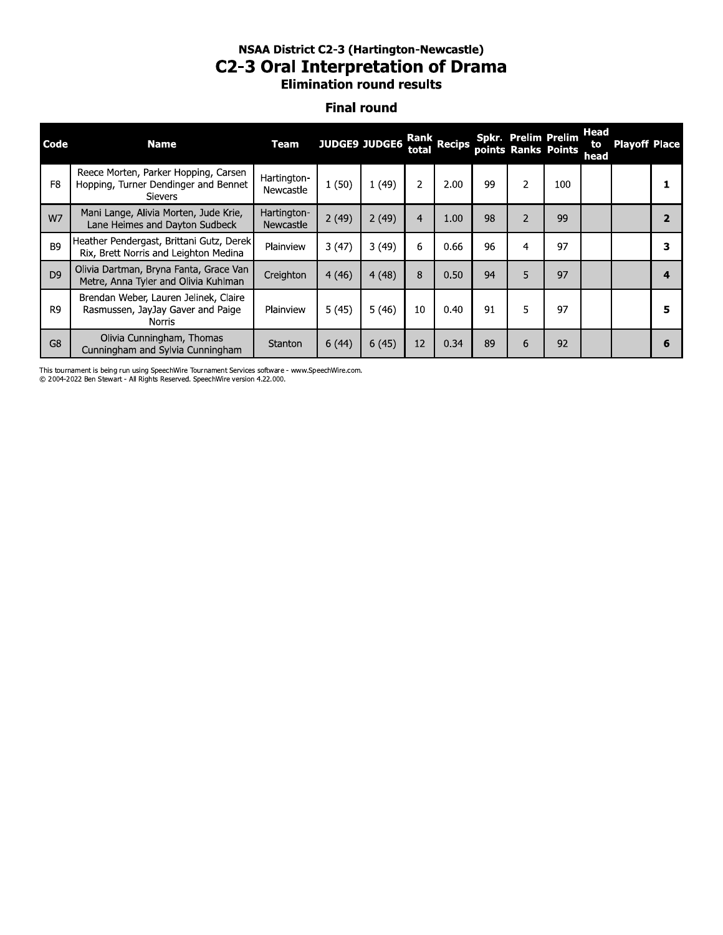### NSAA District C2-3 (Hartington-Newcastle) **C2-3 Oral Interpretation of Drama Elimination round results**

#### **Final round**

| Code           | <b>Name</b>                                                                                    | <b>Team</b>              | JUDGE9 JUDGE6 |       | total          | Rank Recips |    | Spkr. Prelim Prelim<br>points Ranks Points |     | Head<br>to<br>head | <b>Playoff Place</b> |   |
|----------------|------------------------------------------------------------------------------------------------|--------------------------|---------------|-------|----------------|-------------|----|--------------------------------------------|-----|--------------------|----------------------|---|
| F <sub>8</sub> | Reece Morten, Parker Hopping, Carsen<br>Hopping, Turner Dendinger and Bennet<br><b>Sievers</b> | Hartington-<br>Newcastle | 1(50)         | 1(49) | 2              | 2.00        | 99 | 2                                          | 100 |                    |                      |   |
| W7             | Mani Lange, Alivia Morten, Jude Krie,<br>Lane Heimes and Dayton Sudbeck                        | Hartington-<br>Newcastle | 2(49)         | 2(49) | $\overline{4}$ | 1.00        | 98 | $\overline{2}$                             | 99  |                    |                      |   |
| B <sub>9</sub> | Heather Pendergast, Brittani Gutz, Derek<br>Rix, Brett Norris and Leighton Medina              | Plainview                | 3(47)         | 3(49) | 6              | 0.66        | 96 | 4                                          | 97  |                    |                      |   |
| D <sub>9</sub> | Olivia Dartman, Bryna Fanta, Grace Van<br>Metre, Anna Tyler and Olivia Kuhlman                 | Creighton                | 4(46)         | 4(48) | 8              | 0.50        | 94 | 5                                          | 97  |                    |                      |   |
| R <sub>9</sub> | Brendan Weber, Lauren Jelinek, Claire<br>Rasmussen, JayJay Gaver and Paige<br>Norris           | Plainview                | 5(45)         | 5(46) | 10             | 0.40        | 91 | 5                                          | 97  |                    |                      |   |
| G <sub>8</sub> | Olivia Cunningham, Thomas<br>Cunningham and Sylvia Cunningham                                  | Stanton                  | 6(44)         | 6(45) | 12             | 0.34        | 89 | 6                                          | 92  |                    |                      | 6 |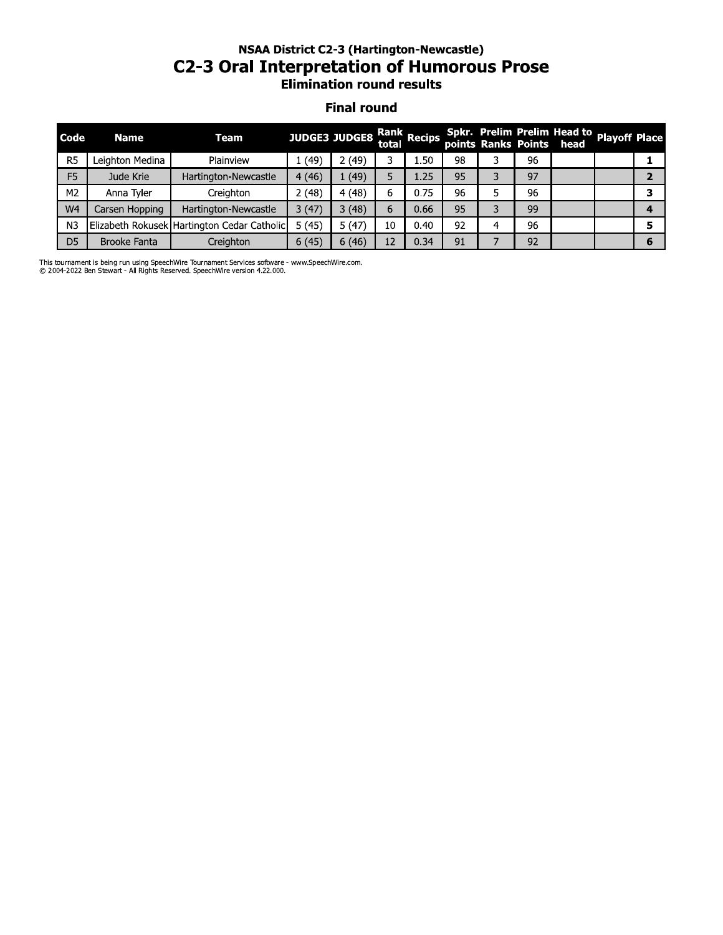# NSAA DIStrict C2-3 (Hartington-Newcastie) CZ-3 Oral Interpretation or Humorous Prose<br>Elimination round results

#### **Final round**

|                | <b>NSAA District C2-3 (Hartington-Newcastle)</b><br><b>C2-3 Oral Interpretation of Humorous Prose</b><br><b>Elimination round results</b> |                                             |       |                           |       |      |    |    |    |                                                         |                      |                |  |
|----------------|-------------------------------------------------------------------------------------------------------------------------------------------|---------------------------------------------|-------|---------------------------|-------|------|----|----|----|---------------------------------------------------------|----------------------|----------------|--|
|                | <b>Final round</b>                                                                                                                        |                                             |       |                           |       |      |    |    |    |                                                         |                      |                |  |
| Code           | <b>Name</b>                                                                                                                               | <b>Team</b>                                 |       | JUDGE3 JUDGE8 Rank Recips | total |      |    |    |    | Spkr. Prelim Prelim Head to<br>points Ranks Points head | <b>Playoff Place</b> |                |  |
| R <sub>5</sub> | Leighton Medina                                                                                                                           | Plainview                                   | 1(49) | 2(49)                     | 3.    | 1.50 | 98 | 3. | 96 |                                                         |                      | 1              |  |
| F <sub>5</sub> | Jude Krie                                                                                                                                 | Hartington-Newcastle                        | 4(46) | 1(49)                     | 5     | 1.25 | 95 | 3. | 97 |                                                         |                      | $\overline{2}$ |  |
| M2             | Anna Tyler                                                                                                                                | Creighton                                   | 2(48) | 4(48)                     | 6.    | 0.75 | 96 | 5. | 96 |                                                         |                      | 3              |  |
| W <sub>4</sub> | Carsen Hopping                                                                                                                            | Hartington-Newcastle                        | 3(47) | 3(48)                     | 6     | 0.66 | 95 | 3  | 99 |                                                         |                      | 4              |  |
| N <sub>3</sub> |                                                                                                                                           | Elizabeth Rokusek Hartington Cedar Catholic | 5(45) | 5(47)                     | 10    | 0.40 | 92 | 4  | 96 |                                                         |                      | 5.             |  |
| D <sub>5</sub> | <b>Brooke Fanta</b>                                                                                                                       | Creighton                                   | 6(45) | 6(46)                     | 12    | 0.34 | 91 | 7  | 92 |                                                         |                      | 6              |  |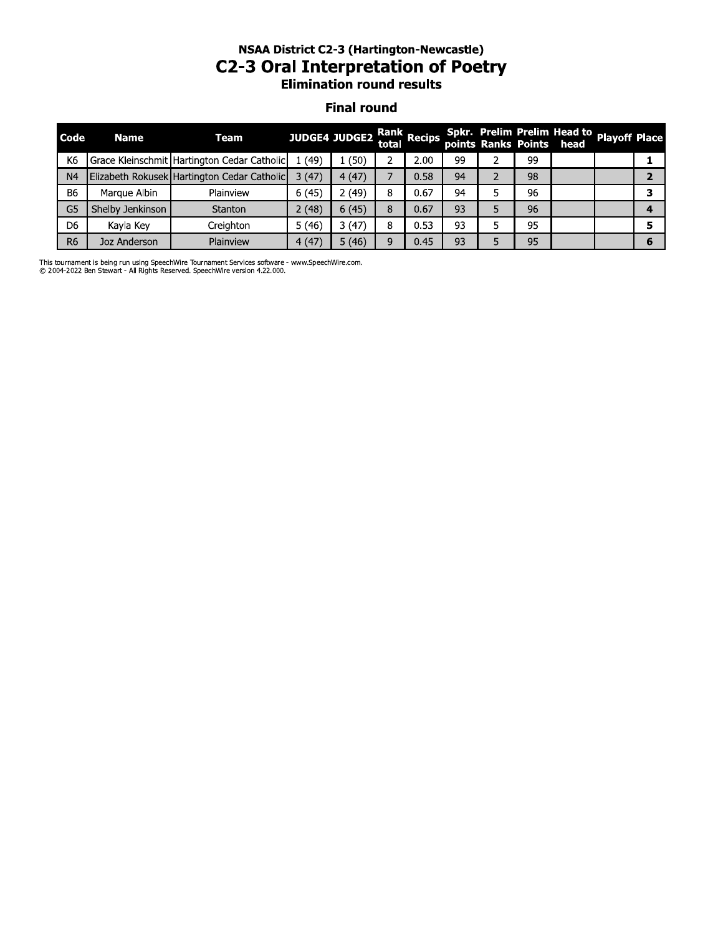# **NSAA District C2-3 (Hartington-Newcastle) C2-3 Oral Interpretation of Poetry**<br>Elimination round results

#### **Final round**

| Code           | <b>Name</b>      | Team                                        | JUDGE4 JUDGE2 Rank Recips Spkr. Prelim Prelim Head to Playoff Place<br>points Ranks Points head |       |   |      |    |    |  |  |
|----------------|------------------|---------------------------------------------|-------------------------------------------------------------------------------------------------|-------|---|------|----|----|--|--|
| K <sub>6</sub> |                  | Grace Kleinschmit Hartington Cedar Catholic | (49)                                                                                            | (50)  |   | 2.00 | 99 | 99 |  |  |
| N <sub>4</sub> |                  | Elizabeth Rokusek Hartington Cedar Catholic | 3(47)                                                                                           | 4(47) |   | 0.58 | 94 | 98 |  |  |
| <b>B6</b>      | Marque Albin     | Plainview                                   | 6(45)                                                                                           | 2(49) | я | 0.67 | 94 | 96 |  |  |
| G5             | Shelby Jenkinson | Stanton                                     | 2(48)                                                                                           | 6(45) |   | 0.67 | 93 | 96 |  |  |
| D <sub>6</sub> | Kayla Key        | Creighton                                   | 5(46)                                                                                           | 3(47) | 8 | 0.53 | 93 | 95 |  |  |
| R <sub>6</sub> | Joz Anderson     | Plainview                                   | 4(47)                                                                                           | 5(46) |   | 0.45 | 93 | 95 |  |  |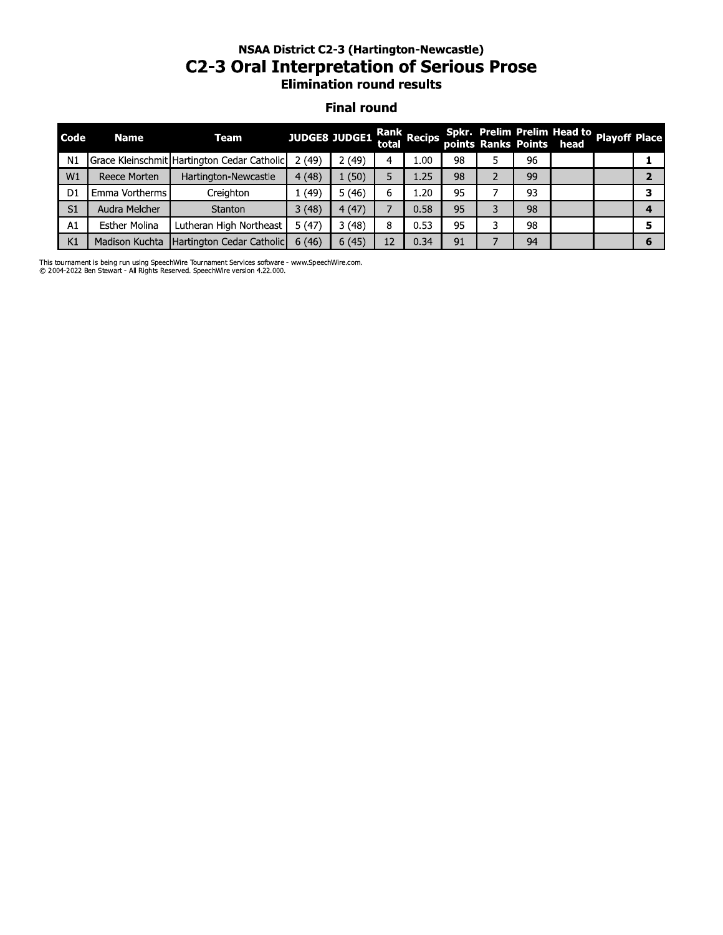# **NSAA District C2-3 (Hartington-Newcastle) C2-3 Oral Interpretation of Serious Prose**<br>Elimination round results

#### **Final round**

| Code           | <b>Name</b>           | Team                                        | JUDGE8 JUDGE1 Rank Recips Spkr. Prelim Prelim Head to playoff Place<br>points Ranks Points head |       |   |      |    |   |    |  |  |
|----------------|-----------------------|---------------------------------------------|-------------------------------------------------------------------------------------------------|-------|---|------|----|---|----|--|--|
| N <sub>1</sub> |                       | Grace Kleinschmit Hartington Cedar Catholic | 2(49)                                                                                           | 2(49) |   | 1.00 | 98 |   | 96 |  |  |
| W1             | Reece Morten          | Hartington-Newcastle                        | 4(48)                                                                                           | 1(50) |   | 1.25 | 98 | 2 | 99 |  |  |
| D <sub>1</sub> | <b>Emma Vortherms</b> | Creighton                                   | 1(49)                                                                                           | 5(46) |   | 1.20 | 95 |   | 93 |  |  |
| S <sub>1</sub> | Audra Melcher         | Stanton                                     | 3(48)                                                                                           | 4(47) |   | 0.58 | 95 | 3 | 98 |  |  |
| A1             | <b>Esther Molina</b>  | Lutheran High Northeast                     | 5(47)                                                                                           | 3(48) | 8 | 0.53 | 95 | 3 | 98 |  |  |
| K1             | Madison Kuchta        | Hartington Cedar Catholic                   | 6(46)                                                                                           | 6(45) |   | 0.34 | 91 |   | 94 |  |  |